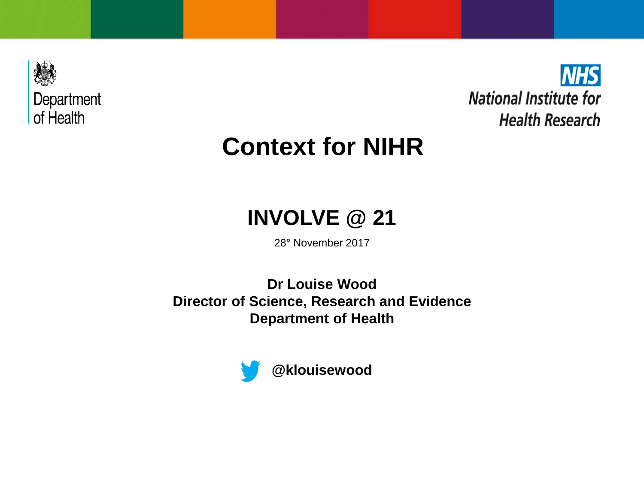



# **Context for NIHR**

## **INVOLVE @ 21**

28° November 2017

**Dr Louise Wood Director of Science, Research and Evidence Department of Health**

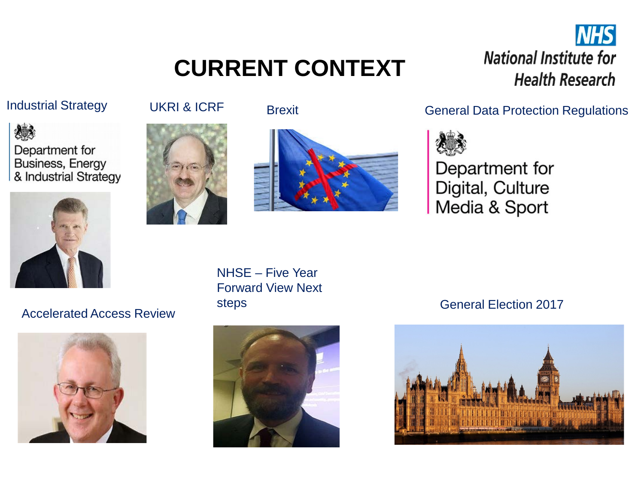# **CURRENT CONTEXT**

### **NHS National Institute for Health Research**









NHSE – Five Year Forward View Next



Industrial Strategy **UKRI & ICRF** Brexit **Brexit Contract General Data Protection Regulations** 



Department for Digital, Culture Media & Sport

#### steps General Election 2017<br>Accelerated Access Review

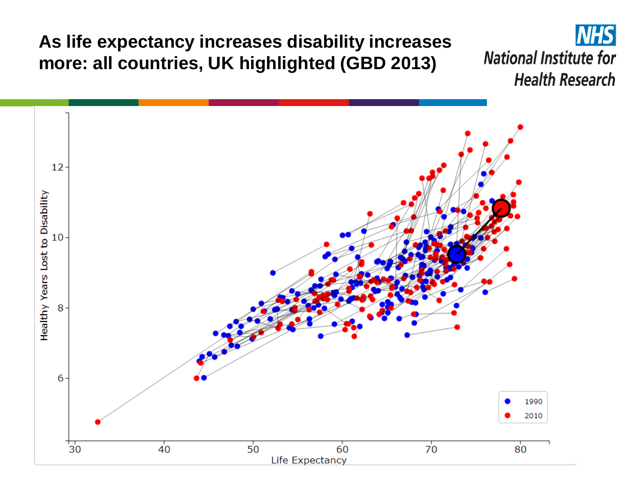**As life expectancy increases disability increases more: all countries, UK highlighted (GBD 2013)**

**NHS National Institute for Health Research** 

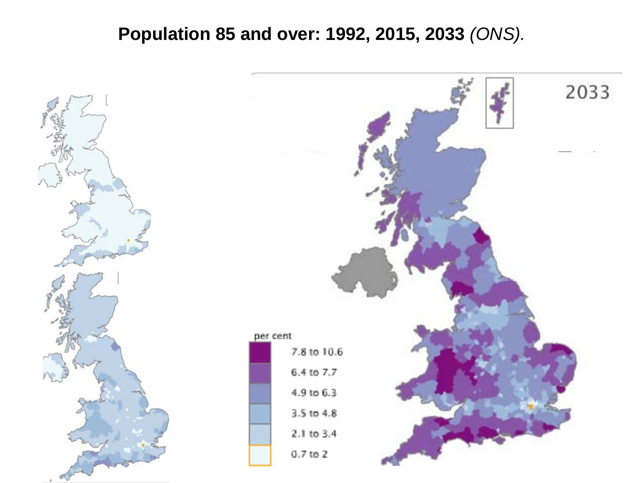### **Population 85 and over: 1992, 2015, 2033** *(ONS).*



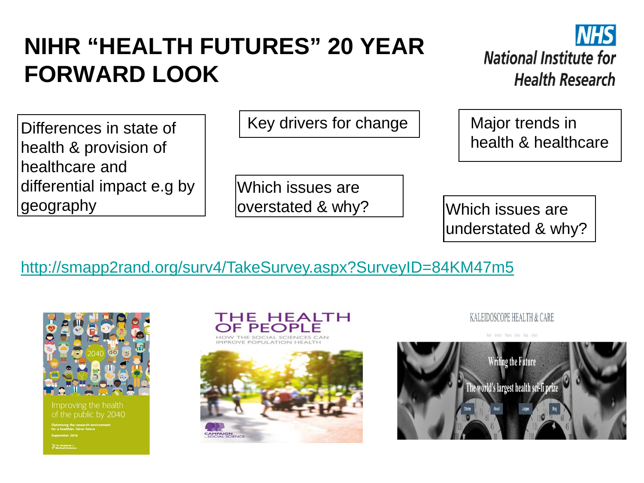# **NIHR "HEALTH FUTURES" 20 YEAR FORWARD LOOK**



Differences in state of health & provision of healthcare and differential impact e.g by geography

Key drivers for change  $\vert$   $\vert$  Major trends in

Which issues are overstated & why? Which issues are

health & healthcare

understated & why?

#### [http://smapp2rand.org/surv4/TakeSurvey.aspx?SurveyID=84KM47m5](http://smapp2rand.org/surv4/TakeSurvey.aspx?surveyID=84KM47m5)



roving the health of the public by 2040





KALEIDOSCOPE HEALTH & CARE

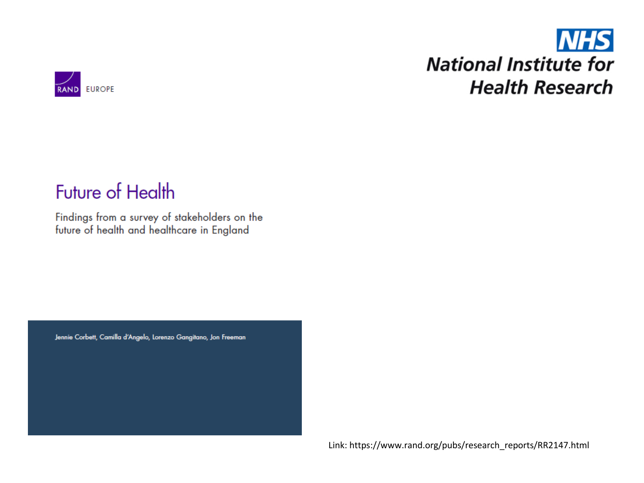## **NHS National Institute for Health Research**



## **Future of Health**

Findings from a survey of stakeholders on the future of health and healthcare in England

Jennie Corbett, Camilla d'Angelo, Lorenzo Gangitano, Jon Freeman

Link: https://www.rand.org/pubs/research\_reports/RR2147.html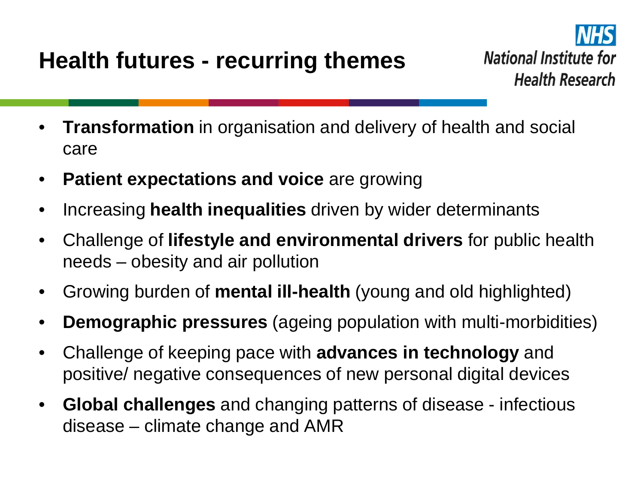

- **Transformation** in organisation and delivery of health and social care
- **Patient expectations and voice** are growing
- Increasing **health inequalities** driven by wider determinants
- Challenge of **lifestyle and environmental drivers** for public health needs – obesity and air pollution
- Growing burden of **mental ill-health** (young and old highlighted)
- **Demographic pressures** (ageing population with multi-morbidities)
- Challenge of keeping pace with **advances in technology** and positive/ negative consequences of new personal digital devices
- **Global challenges** and changing patterns of disease infectious disease – climate change and AMR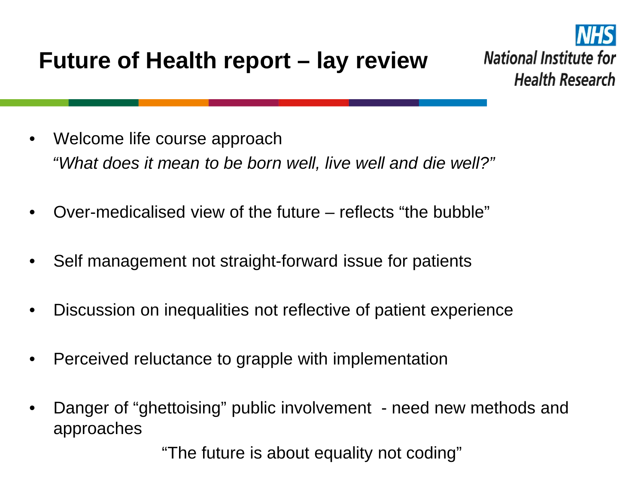

- Welcome life course approach *"What does it mean to be born well, live well and die well?"*
- Over-medicalised view of the future reflects "the bubble"
- Self management not straight-forward issue for patients
- Discussion on inequalities not reflective of patient experience
- Perceived reluctance to grapple with implementation
- Danger of "ghettoising" public involvement need new methods and approaches

"The future is about equality not coding"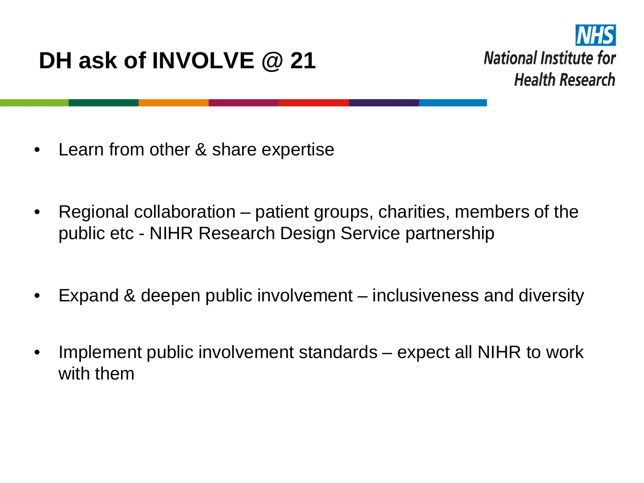# **DH ask of INVOLVE @ 21**



- Learn from other & share expertise
- Regional collaboration patient groups, charities, members of the public etc - NIHR Research Design Service partnership
- Expand & deepen public involvement inclusiveness and diversity
- Implement public involvement standards expect all NIHR to work with them